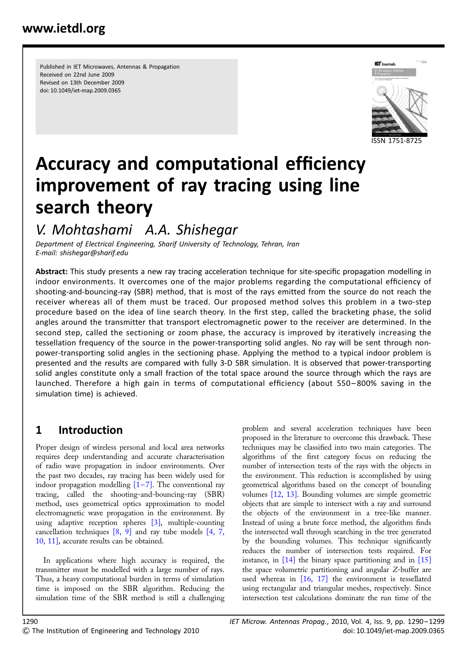Published in IET Microwaves, Antennas & Propagation Received on 22nd June 2009 Revised on 13th December 2009 doi: 10.1049/iet-map.2009.0365



# Accuracy and computational efficiency improvement of ray tracing using line search theory

V. Mohtashami A.A. Shishegar

Department of Electrical Engineering, Sharif University of Technology, Tehran, Iran E-mail: shishegar@sharif.edu

Abstract: This study presents a new ray tracing acceleration technique for site-specific propagation modelling in indoor environments. It overcomes one of the major problems regarding the computational efficiency of shooting-and-bouncing-ray (SBR) method, that is most of the rays emitted from the source do not reach the receiver whereas all of them must be traced. Our proposed method solves this problem in a two-step procedure based on the idea of line search theory. In the first step, called the bracketing phase, the solid angles around the transmitter that transport electromagnetic power to the receiver are determined. In the second step, called the sectioning or zoom phase, the accuracy is improved by iteratively increasing the tessellation frequency of the source in the power-transporting solid angles. No ray will be sent through nonpower-transporting solid angles in the sectioning phase. Applying the method to a typical indoor problem is presented and the results are compared with fully 3-D SBR simulation. It is observed that power-transporting solid angles constitute only a small fraction of the total space around the source through which the rays are launched. Therefore a high gain in terms of computational efficiency (about 550– 800% saving in the simulation time) is achieved.

## 1 Introduction

Proper design of wireless personal and local area networks requires deep understanding and accurate characterisation of radio wave propagation in indoor environments. Over the past two decades, ray tracing has been widely used for indoor propagation modelling  $[1-7]$ . The conventional ray tracing, called the shooting-and-bouncing-ray (SBR) method, uses geometrical optics approximation to model electromagnetic wave propagation in the environment. By using adaptive reception spheres  $\lceil 3 \rceil$ , multiple-counting cancellation techniques [8, 9] and ray tube models [4, 7, 10, 11], accurate results can be obtained.

In applications where high accuracy is required, the transmitter must be modelled with a large number of rays. Thus, a heavy computational burden in terms of simulation time is imposed on the SBR algorithm. Reducing the simulation time of the SBR method is still a challenging

problem and several acceleration techniques have been proposed in the literature to overcome this drawback. These techniques may be classified into two main categories. The algorithms of the first category focus on reducing the number of intersection tests of the rays with the objects in the environment. This reduction is accomplished by using geometrical algorithms based on the concept of bounding volumes [12, 13]. Bounding volumes are simple geometric objects that are simple to intersect with a ray and surround the objects of the environment in a tree-like manner. Instead of using a brute force method, the algorithm finds the intersected wall through searching in the tree generated by the bounding volumes. This technique significantly reduces the number of intersection tests required. For instance, in [14] the binary space partitioning and in [15] the space volumetric partitioning and angular Z-buffer are used whereas in  $[16, 17]$  the environment is tessellated using rectangular and triangular meshes, respectively. Since intersection test calculations dominate the run time of the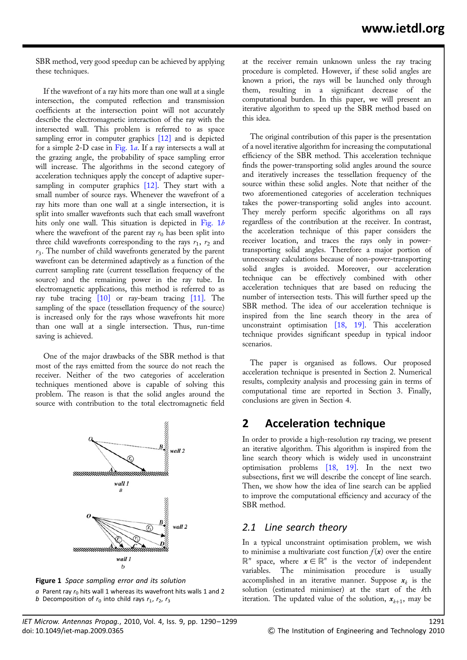SBR method, very good speedup can be achieved by applying these techniques.

If the wavefront of a ray hits more than one wall at a single intersection, the computed reflection and transmission coefficients at the intersection point will not accurately describe the electromagnetic interaction of the ray with the intersected wall. This problem is referred to as space sampling error in computer graphics  $[12]$  and is depicted for a simple 2-D case in Fig. 1a. If a ray intersects a wall at the grazing angle, the probability of space sampling error will increase. The algorithms in the second category of acceleration techniques apply the concept of adaptive supersampling in computer graphics [12]. They start with a small number of source rays. Whenever the wavefront of a ray hits more than one wall at a single intersection, it is split into smaller wavefronts such that each small wavefront hits only one wall. This situation is depicted in Fig. 1b where the wavefront of the parent ray  $r_0$  has been split into three child wavefronts corresponding to the rays  $r_1$ ,  $r_2$  and  $r_3$ . The number of child wavefronts generated by the parent wavefront can be determined adaptively as a function of the current sampling rate (current tessellation frequency of the source) and the remaining power in the ray tube. In electromagnetic applications, this method is referred to as ray tube tracing [10] or ray-beam tracing [11]. The sampling of the space (tessellation frequency of the source) is increased only for the rays whose wavefronts hit more than one wall at a single intersection. Thus, run-time saving is achieved.

One of the major drawbacks of the SBR method is that most of the rays emitted from the source do not reach the receiver. Neither of the two categories of acceleration techniques mentioned above is capable of solving this problem. The reason is that the solid angles around the source with contribution to the total electromagnetic field





 $\alpha$  Parent ray  $r_0$  hits wall 1 whereas its wavefront hits walls 1 and 2 b Decomposition of  $r_0$  into child rays  $r_1$ ,  $r_2$ ,  $r_3$ 

at the receiver remain unknown unless the ray tracing procedure is completed. However, if these solid angles are known a priori, the rays will be launched only through them, resulting in a significant decrease of the computational burden. In this paper, we will present an iterative algorithm to speed up the SBR method based on this idea.

The original contribution of this paper is the presentation of a novel iterative algorithm for increasing the computational efficiency of the SBR method. This acceleration technique finds the power-transporting solid angles around the source and iteratively increases the tessellation frequency of the source within these solid angles. Note that neither of the two aforementioned categories of acceleration techniques takes the power-transporting solid angles into account. They merely perform specific algorithms on all rays regardless of the contribution at the receiver. In contrast, the acceleration technique of this paper considers the receiver location, and traces the rays only in powertransporting solid angles. Therefore a major portion of unnecessary calculations because of non-power-transporting solid angles is avoided. Moreover, our acceleration technique can be effectively combined with other acceleration techniques that are based on reducing the number of intersection tests. This will further speed up the SBR method. The idea of our acceleration technique is inspired from the line search theory in the area of unconstraint optimisation [18, 19]. This acceleration technique provides significant speedup in typical indoor scenarios.

The paper is organised as follows. Our proposed acceleration technique is presented in Section 2. Numerical results, complexity analysis and processing gain in terms of computational time are reported in Section 3. Finally, conclusions are given in Section 4.

### 2 Acceleration technique

In order to provide a high-resolution ray tracing, we present an iterative algorithm. This algorithm is inspired from the line search theory which is widely used in unconstraint optimisation problems [18, 19]. In the next two subsections, first we will describe the concept of line search. Then, we show how the idea of line search can be applied to improve the computational efficiency and accuracy of the SBR method.

#### 2.1 Line search theory

In a typical unconstraint optimisation problem, we wish to minimise a multivariate cost function  $f(x)$  over the entire  $\mathbb{R}^n$  space, where  $x \in \mathbb{R}^n$  is the vector of independent variables. The minimisation procedure is usually accomplished in an iterative manner. Suppose  $x_k$  is the solution (estimated minimiser) at the start of the kth iteration. The updated value of the solution,  $x_{k+1}$ , may be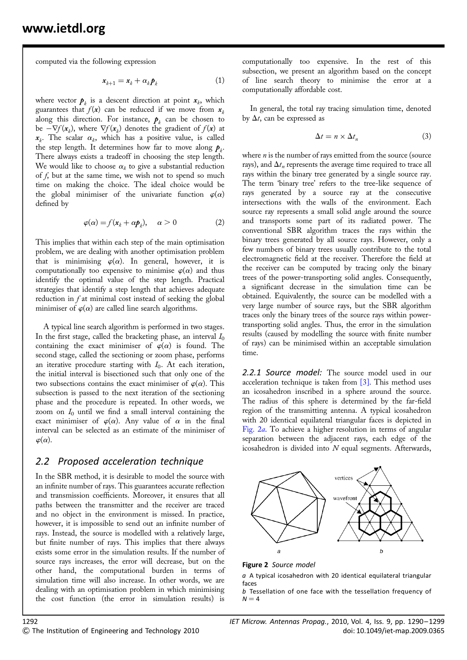computed via the following expression

$$
x_{k+1} = x_k + \alpha_k p_k \tag{1}
$$

where vector  $p_k$  is a descent direction at point  $x_k$ , which guarantees that  $f(x)$  can be reduced if we move from  $x_k$ along this direction. For instance,  $p_k$  can be chosen to be  $-\nabla f(x_k)$ , where  $\nabla f(x_k)$  denotes the gradient of  $f(x)$  at  $x_k$ . The scalar  $\alpha_k$ , which has a positive value, is called the step length. It determines how far to move along  $p_k$ . There always exists a tradeoff in choosing the step length. We would like to choose  $\alpha_k$  to give a substantial reduction of  $f$ , but at the same time, we wish not to spend so much time on making the choice. The ideal choice would be the global minimiser of the univariate function  $\varphi(\alpha)$ defined by

$$
\varphi(\alpha) = f(x_k + \alpha p_k), \quad \alpha > 0 \tag{2}
$$

This implies that within each step of the main optimisation problem, we are dealing with another optimisation problem that is minimising  $\varphi(\alpha)$ . In general, however, it is computationally too expensive to minimise  $\varphi(\alpha)$  and thus identify the optimal value of the step length. Practical strategies that identify a step length that achieves adequate reduction in  $f$  at minimal cost instead of seeking the global minimiser of  $\varphi(\alpha)$  are called line search algorithms.

A typical line search algorithm is performed in two stages. In the first stage, called the bracketing phase, an interval  $I_0$ containing the exact minimiser of  $\varphi(\alpha)$  is found. The second stage, called the sectioning or zoom phase, performs an iterative procedure starting with  $I_0$ . At each iteration, the initial interval is bisectioned such that only one of the two subsections contains the exact minimiser of  $\varphi(\alpha)$ . This subsection is passed to the next iteration of the sectioning phase and the procedure is repeated. In other words, we zoom on  $I_0$  until we find a small interval containing the exact minimiser of  $\varphi(\alpha)$ . Any value of  $\alpha$  in the final interval can be selected as an estimate of the minimiser of  $\varphi(\alpha)$ .

#### 2.2 Proposed acceleration technique

In the SBR method, it is desirable to model the source with an infinite number of rays. This guarantees accurate reflection and transmission coefficients. Moreover, it ensures that all paths between the transmitter and the receiver are traced and no object in the environment is missed. In practice, however, it is impossible to send out an infinite number of rays. Instead, the source is modelled with a relatively large, but finite number of rays. This implies that there always exists some error in the simulation results. If the number of source rays increases, the error will decrease, but on the other hand, the computational burden in terms of simulation time will also increase. In other words, we are dealing with an optimisation problem in which minimising the cost function (the error in simulation results) is

computationally too expensive. In the rest of this subsection, we present an algorithm based on the concept of line search theory to minimise the error at a computationally affordable cost.

In general, the total ray tracing simulation time, denoted by  $\Delta t$ , can be expressed as

$$
\Delta t = n \times \Delta t_n \tag{3}
$$

where  $n$  is the number of rays emitted from the source (source rays), and  $\Delta t_n$  represents the average time required to trace all rays within the binary tree generated by a single source ray. The term 'binary tree' refers to the tree-like sequence of rays generated by a source ray at the consecutive intersections with the walls of the environment. Each source ray represents a small solid angle around the source and transports some part of its radiated power. The conventional SBR algorithm traces the rays within the binary trees generated by all source rays. However, only a few numbers of binary trees usually contribute to the total electromagnetic field at the receiver. Therefore the field at the receiver can be computed by tracing only the binary trees of the power-transporting solid angles. Consequently, a significant decrease in the simulation time can be obtained. Equivalently, the source can be modelled with a very large number of source rays, but the SBR algorithm traces only the binary trees of the source rays within powertransporting solid angles. Thus, the error in the simulation results (caused by modelling the source with finite number of rays) can be minimised within an acceptable simulation time.

2.2.1 Source model: The source model used in our acceleration technique is taken from  $\lceil 3 \rceil$ . This method uses an icosahedron inscribed in a sphere around the source. The radius of this sphere is determined by the far-field region of the transmitting antenna. A typical icosahedron with 20 identical equilateral triangular faces is depicted in Fig. 2a. To achieve a higher resolution in terms of angular separation between the adjacent rays, each edge of the icosahedron is divided into N equal segments. Afterwards,



Figure 2 Source model

a A typical icosahedron with 20 identical equilateral triangular faces

b Tessellation of one face with the tessellation frequency of  $N = 4$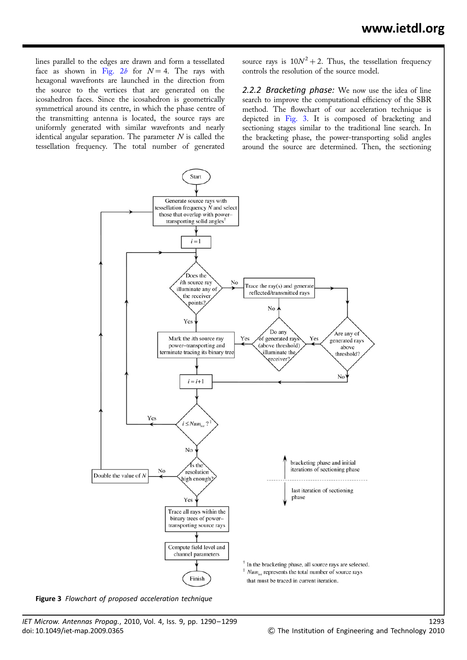lines parallel to the edges are drawn and form a tessellated face as shown in Fig. 2b for  $N = 4$ . The rays with hexagonal wavefronts are launched in the direction from the source to the vertices that are generated on the icosahedron faces. Since the icosahedron is geometrically symmetrical around its centre, in which the phase centre of the transmitting antenna is located, the source rays are uniformly generated with similar wavefronts and nearly identical angular separation. The parameter  $N$  is called the tessellation frequency. The total number of generated

source rays is  $10N^2 + 2$ . Thus, the tessellation frequency controls the resolution of the source model.

2.2.2 Bracketing phase: We now use the idea of line search to improve the computational efficiency of the SBR method. The flowchart of our acceleration technique is depicted in Fig. 3. It is composed of bracketing and sectioning stages similar to the traditional line search. In the bracketing phase, the power-transporting solid angles around the source are determined. Then, the sectioning



Figure 3 Flowchart of proposed acceleration technique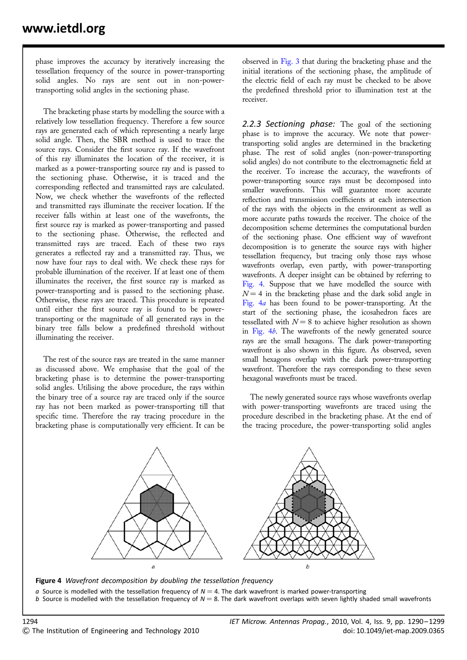phase improves the accuracy by iteratively increasing the tessellation frequency of the source in power-transporting solid angles. No rays are sent out in non-powertransporting solid angles in the sectioning phase.

The bracketing phase starts by modelling the source with a relatively low tessellation frequency. Therefore a few source rays are generated each of which representing a nearly large solid angle. Then, the SBR method is used to trace the source rays. Consider the first source ray. If the wavefront of this ray illuminates the location of the receiver, it is marked as a power-transporting source ray and is passed to the sectioning phase. Otherwise, it is traced and the corresponding reflected and transmitted rays are calculated. Now, we check whether the wavefronts of the reflected and transmitted rays illuminate the receiver location. If the receiver falls within at least one of the wavefronts, the first source ray is marked as power-transporting and passed to the sectioning phase. Otherwise, the reflected and transmitted rays are traced. Each of these two rays generates a reflected ray and a transmitted ray. Thus, we now have four rays to deal with. We check these rays for probable illumination of the receiver. If at least one of them illuminates the receiver, the first source ray is marked as power-transporting and is passed to the sectioning phase. Otherwise, these rays are traced. This procedure is repeated until either the first source ray is found to be powertransporting or the magnitude of all generated rays in the binary tree falls below a predefined threshold without illuminating the receiver.

The rest of the source rays are treated in the same manner as discussed above. We emphasise that the goal of the bracketing phase is to determine the power-transporting solid angles. Utilising the above procedure, the rays within the binary tree of a source ray are traced only if the source ray has not been marked as power-transporting till that specific time. Therefore the ray tracing procedure in the bracketing phase is computationally very efficient. It can be observed in Fig. 3 that during the bracketing phase and the initial iterations of the sectioning phase, the amplitude of the electric field of each ray must be checked to be above the predefined threshold prior to illumination test at the receiver.

2.2.3 Sectioning phase: The goal of the sectioning phase is to improve the accuracy. We note that powertransporting solid angles are determined in the bracketing phase. The rest of solid angles (non-power-transporting solid angles) do not contribute to the electromagnetic field at the receiver. To increase the accuracy, the wavefronts of power-transporting source rays must be decomposed into smaller wavefronts. This will guarantee more accurate reflection and transmission coefficients at each intersection of the rays with the objects in the environment as well as more accurate paths towards the receiver. The choice of the decomposition scheme determines the computational burden of the sectioning phase. One efficient way of wavefront decomposition is to generate the source rays with higher tessellation frequency, but tracing only those rays whose wavefronts overlap, even partly, with power-transporting wavefronts. A deeper insight can be obtained by referring to Fig. 4. Suppose that we have modelled the source with  $N = 4$  in the bracketing phase and the dark solid angle in Fig. 4a has been found to be power-transporting. At the start of the sectioning phase, the icosahedron faces are tessellated with  $N = 8$  to achieve higher resolution as shown in Fig.  $4b$ . The wavefronts of the newly generated source rays are the small hexagons. The dark power-transporting wavefront is also shown in this figure. As observed, seven small hexagons overlap with the dark power-transporting wavefront. Therefore the rays corresponding to these seven hexagonal wavefronts must be traced.

The newly generated source rays whose wavefronts overlap with power-transporting wavefronts are traced using the procedure described in the bracketing phase. At the end of the tracing procedure, the power-transporting solid angles





a Source is modelled with the tessellation frequency of  $N = 4$ . The dark wavefront is marked power-transporting

b Source is modelled with the tessellation frequency of  $N = 8$ . The dark wavefront overlaps with seven lightly shaded small wavefronts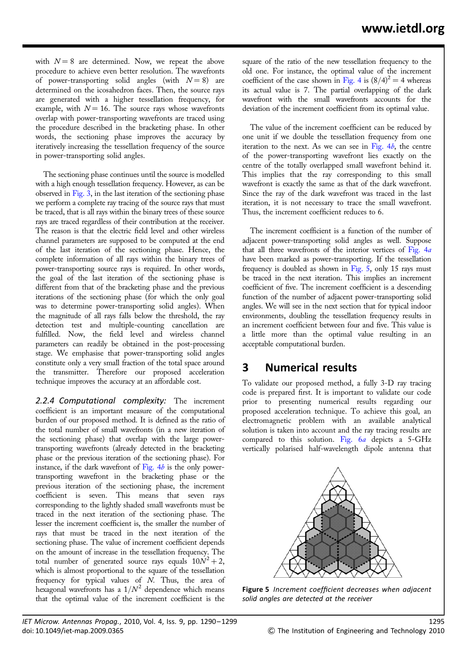with  $N = 8$  are determined. Now, we repeat the above procedure to achieve even better resolution. The wavefronts of power-transporting solid angles (with  $N = 8$ ) are determined on the icosahedron faces. Then, the source rays are generated with a higher tessellation frequency, for example, with  $N = 16$ . The source rays whose wavefronts overlap with power-transporting wavefronts are traced using the procedure described in the bracketing phase. In other words, the sectioning phase improves the accuracy by iteratively increasing the tessellation frequency of the source in power-transporting solid angles.

The sectioning phase continues until the source is modelled with a high enough tessellation frequency. However, as can be observed in Fig. 3, in the last iteration of the sectioning phase we perform a complete ray tracing of the source rays that must be traced, that is all rays within the binary trees of these source rays are traced regardless of their contribution at the receiver. The reason is that the electric field level and other wireless channel parameters are supposed to be computed at the end of the last iteration of the sectioning phase. Hence, the complete information of all rays within the binary trees of power-transporting source rays is required. In other words, the goal of the last iteration of the sectioning phase is different from that of the bracketing phase and the previous iterations of the sectioning phase (for which the only goal was to determine power-transporting solid angles). When the magnitude of all rays falls below the threshold, the ray detection test and multiple-counting cancellation are fulfilled. Now, the field level and wireless channel parameters can readily be obtained in the post-processing stage. We emphasise that power-transporting solid angles constitute only a very small fraction of the total space around the transmitter. Therefore our proposed acceleration technique improves the accuracy at an affordable cost.

2.2.4 Computational complexity: The increment coefficient is an important measure of the computational burden of our proposed method. It is defined as the ratio of the total number of small wavefronts (in a new iteration of the sectioning phase) that overlap with the large powertransporting wavefronts (already detected in the bracketing phase or the previous iteration of the sectioning phase). For instance, if the dark wavefront of Fig.  $4b$  is the only powertransporting wavefront in the bracketing phase or the previous iteration of the sectioning phase, the increment coefficient is seven. This means that seven rays corresponding to the lightly shaded small wavefronts must be traced in the next iteration of the sectioning phase. The lesser the increment coefficient is, the smaller the number of rays that must be traced in the next iteration of the sectioning phase. The value of increment coefficient depends on the amount of increase in the tessellation frequency. The total number of generated source rays equals  $10N^2 + 2$ , which is almost proportional to the square of the tessellation frequency for typical values of  $N$ . Thus, the area of hexagonal wavefronts has a  $1/N^2$  dependence which means that the optimal value of the increment coefficient is the

square of the ratio of the new tessellation frequency to the old one. For instance, the optimal value of the increment coefficient of the case shown in Fig. 4 is  $(8/4)^2 = 4$  whereas its actual value is 7. The partial overlapping of the dark wavefront with the small wavefronts accounts for the deviation of the increment coefficient from its optimal value.

The value of the increment coefficient can be reduced by one unit if we double the tessellation frequency from one iteration to the next. As we can see in Fig.  $4b$ , the centre of the power-transporting wavefront lies exactly on the centre of the totally overlapped small wavefront behind it. This implies that the ray corresponding to this small wavefront is exactly the same as that of the dark wavefront. Since the ray of the dark wavefront was traced in the last iteration, it is not necessary to trace the small wavefront. Thus, the increment coefficient reduces to 6.

The increment coefficient is a function of the number of adjacent power-transporting solid angles as well. Suppose that all three wavefronts of the interior vertices of Fig. 4a have been marked as power-transporting. If the tessellation frequency is doubled as shown in Fig. 5, only 15 rays must be traced in the next iteration. This implies an increment coefficient of five. The increment coefficient is a descending function of the number of adjacent power-transporting solid angles. We will see in the next section that for typical indoor environments, doubling the tessellation frequency results in an increment coefficient between four and five. This value is a little more than the optimal value resulting in an acceptable computational burden.

## 3 Numerical results

To validate our proposed method, a fully 3-D ray tracing code is prepared first. It is important to validate our code prior to presenting numerical results regarding our proposed acceleration technique. To achieve this goal, an electromagnetic problem with an available analytical solution is taken into account and the ray tracing results are compared to this solution. Fig. 6a depicts a 5-GHz vertically polarised half-wavelength dipole antenna that



Figure 5 Increment coefficient decreases when adjacent solid angles are detected at the receiver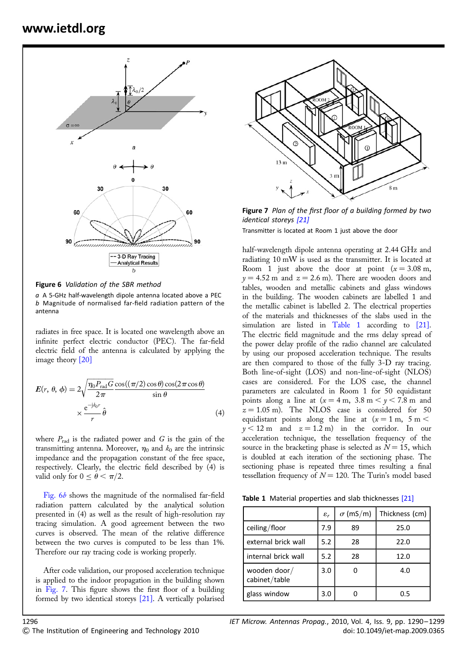

Figure 6 Validation of the SBR method

a A 5-GHz half-wavelength dipole antenna located above a PEC b Magnitude of normalised far-field radiation pattern of the antenna

radiates in free space. It is located one wavelength above an infinite perfect electric conductor (PEC). The far-field electric field of the antenna is calculated by applying the image theory [20]

$$
E(r, \theta, \phi) = 2\sqrt{\frac{\eta_0 P_{\text{rad}} G}{2\pi}} \frac{\cos((\pi/2)\cos\theta)\cos(2\pi\cos\theta)}{\sin\theta}
$$

$$
\times \frac{e^{-j\ell_0 r}}{r} \hat{\theta}
$$
(4)

where  $P_{rad}$  is the radiated power and G is the gain of the transmitting antenna. Moreover,  $\eta_0$  and  $k_0$  are the intrinsic impedance and the propagation constant of the free space, respectively. Clearly, the electric field described by (4) is valid only for  $0 < \theta < \pi/2$ .

Fig. 6b shows the magnitude of the normalised far-field radiation pattern calculated by the analytical solution presented in (4) as well as the result of high-resolution ray tracing simulation. A good agreement between the two curves is observed. The mean of the relative difference between the two curves is computed to be less than 1%. Therefore our ray tracing code is working properly.

After code validation, our proposed acceleration technique is applied to the indoor propagation in the building shown in Fig. 7. This figure shows the first floor of a building formed by two identical storeys [21]. A vertically polarised



Figure 7 Plan of the first floor of a building formed by two identical storeys [21]

Transmitter is located at Room 1 just above the door

half-wavelength dipole antenna operating at 2.44 GHz and radiating 10 mW is used as the transmitter. It is located at Room 1 just above the door at point  $(x = 3.08 \text{ m})$ ,  $y = 4.52$  m and  $z = 2.6$  m). There are wooden doors and tables, wooden and metallic cabinets and glass windows in the building. The wooden cabinets are labelled 1 and the metallic cabinet is labelled 2. The electrical properties of the materials and thicknesses of the slabs used in the simulation are listed in Table 1 according to [21]. The electric field magnitude and the rms delay spread of the power delay profile of the radio channel are calculated by using our proposed acceleration technique. The results are then compared to those of the fully 3-D ray tracing. Both line-of-sight (LOS) and non-line-of-sight (NLOS) cases are considered. For the LOS case, the channel parameters are calculated in Room 1 for 50 equidistant points along a line at  $(x = 4 \text{ m}, 3.8 \text{ m} < y < 7.8 \text{ m}$  and  $z = 1.05$  m). The NLOS case is considered for 50 equidistant points along the line at  $(x = 1 \text{ m}, 5 \text{ m} <$  $y < 12$  m and  $z = 1.2$  m) in the corridor. In our acceleration technique, the tessellation frequency of the source in the bracketing phase is selected as  $N = 15$ , which is doubled at each iteration of the sectioning phase. The sectioning phase is repeated three times resulting a final tessellation frequency of  $N = 120$ . The Turin's model based

Table 1 Material properties and slab thicknesses [21]

|                               | $\varepsilon_r$ | $\sigma$ (mS/m) | Thickness (cm) |
|-------------------------------|-----------------|-----------------|----------------|
| ceiling/floor                 | 7.9             | 89              | 25.0           |
| external brick wall           | 5.2             | 28              | 22.0           |
| internal brick wall           | 5.2             | 28              | 12.0           |
| wooden door/<br>cabinet/table | 3.0             |                 | 4.0            |
| glass window                  | 3.0             |                 | 0.5            |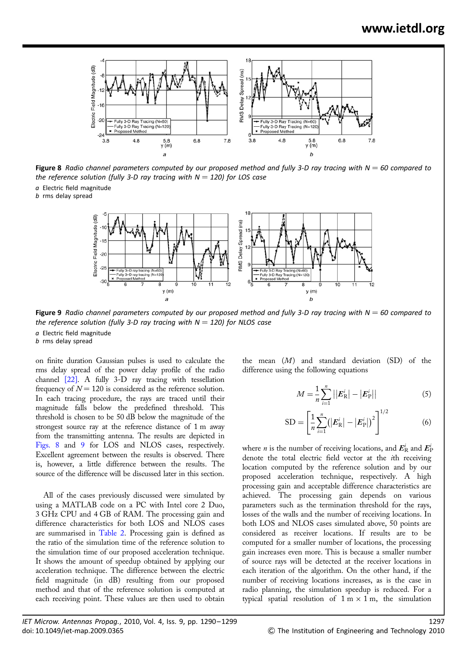

Figure 8 Radio channel parameters computed by our proposed method and fully 3-D ray tracing with  $N = 60$  compared to the reference solution (fully 3-D ray tracing with  $N = 120$ ) for LOS case

a Electric field magnitude

 $b$  rms delay spread



Figure 9 Radio channel parameters computed by our proposed method and fully 3-D ray tracing with  $N = 60$  compared to the reference solution (fully 3-D ray tracing with  $N = 120$ ) for NLOS case a Electric field magnitude

b rms delay spread

on finite duration Gaussian pulses is used to calculate the rms delay spread of the power delay profile of the radio channel [22]. A fully 3-D ray tracing with tessellation frequency of  $N = 120$  is considered as the reference solution. In each tracing procedure, the rays are traced until their magnitude falls below the predefined threshold. This threshold is chosen to be 50 dB below the magnitude of the strongest source ray at the reference distance of 1 m away from the transmitting antenna. The results are depicted in Figs. 8 and 9 for LOS and NLOS cases, respectively. Excellent agreement between the results is observed. There is, however, a little difference between the results. The source of the difference will be discussed later in this section.

All of the cases previously discussed were simulated by using a MATLAB code on a PC with Intel core 2 Duo, 3 GHz CPU and 4 GB of RAM. The processing gain and difference characteristics for both LOS and NLOS cases are summarised in Table 2. Processing gain is defined as the ratio of the simulation time of the reference solution to the simulation time of our proposed acceleration technique. It shows the amount of speedup obtained by applying our acceleration technique. The difference between the electric field magnitude (in dB) resulting from our proposed method and that of the reference solution is computed at each receiving point. These values are then used to obtain the mean (M) and standard deviation (SD) of the difference using the following equations

$$
M = \frac{1}{n} \sum_{i=1}^{n} \left| \left| E_{R}^{i} \right| - \left| E_{P}^{i} \right| \right| \tag{5}
$$

SD = 
$$
\left[\frac{1}{n}\sum_{i=1}^{n} (|E_{R}^{i}| - |E_{P}^{i}|)^{2}\right]^{1/2}
$$
 (6)

where  $n$  is the number of receiving locations, and  $\boldsymbol{E}_{\text{R}}^{i}$  and  $\boldsymbol{E}_{\text{P}}^{i}$ denote the total electric field vector at the ith receiving location computed by the reference solution and by our proposed acceleration technique, respectively. A high processing gain and acceptable difference characteristics are achieved. The processing gain depends on various parameters such as the termination threshold for the rays, losses of the walls and the number of receiving locations. In both LOS and NLOS cases simulated above, 50 points are considered as receiver locations. If results are to be computed for a smaller number of locations, the processing gain increases even more. This is because a smaller number of source rays will be detected at the receiver locations in each iteration of the algorithm. On the other hand, if the number of receiving locations increases, as is the case in radio planning, the simulation speedup is reduced. For a typical spatial resolution of  $1 \text{ m} \times 1 \text{ m}$ , the simulation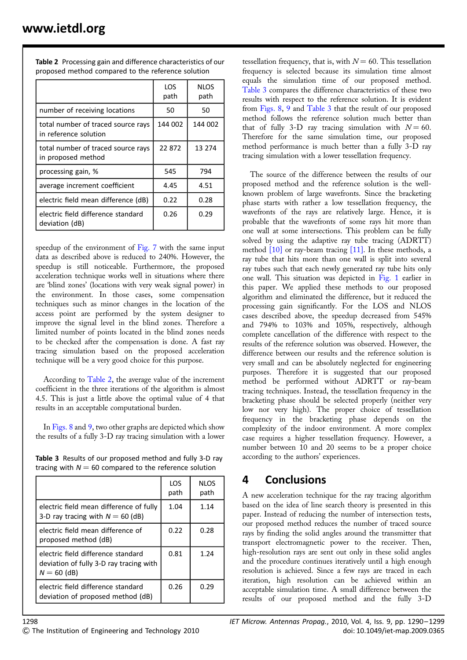|                                                             | LOS<br>path | NI OS<br>path |
|-------------------------------------------------------------|-------------|---------------|
| number of receiving locations                               | 50          | 50            |
| total number of traced source rays<br>in reference solution | 144 002     | 144 002       |
| total number of traced source rays<br>in proposed method    | 22.872      | 13 274        |
| processing gain, %                                          | 545         | 794           |
| average increment coefficient                               | 4.45        | 4.51          |
| electric field mean difference (dB)                         | 0.22        | 0.28          |
| electric field difference standard<br>deviation (dB)        | 0.26        | 0.29          |

Table 2 Processing gain and difference characteristics of our proposed method compared to the reference solution

speedup of the environment of Fig. 7 with the same input data as described above is reduced to 240%. However, the speedup is still noticeable. Furthermore, the proposed acceleration technique works well in situations where there are 'blind zones' (locations with very weak signal power) in the environment. In those cases, some compensation techniques such as minor changes in the location of the access point are performed by the system designer to improve the signal level in the blind zones. Therefore a limited number of points located in the blind zones needs to be checked after the compensation is done. A fast ray tracing simulation based on the proposed acceleration technique will be a very good choice for this purpose.

According to Table 2, the average value of the increment coefficient in the three iterations of the algorithm is almost 4.5. This is just a little above the optimal value of 4 that results in an acceptable computational burden.

In Figs. 8 and 9, two other graphs are depicted which show the results of a fully 3-D ray tracing simulation with a lower

Table 3 Results of our proposed method and fully 3-D ray tracing with  $N = 60$  compared to the reference solution

|                                                                                                | <b>IOS</b><br>path | NI OS<br>path |
|------------------------------------------------------------------------------------------------|--------------------|---------------|
| electric field mean difference of fully<br>3-D ray tracing with $N = 60$ (dB)                  | 1.04               | 1.14          |
| electric field mean difference of<br>proposed method (dB)                                      | 0.22               | 0.28          |
| electric field difference standard<br>deviation of fully 3-D ray tracing with<br>$N = 60$ (dB) | 0.81               | 1.24          |
| electric field difference standard<br>deviation of proposed method (dB)                        | 0.26               | 0.29          |

tessellation frequency, that is, with  $N = 60$ . This tessellation frequency is selected because its simulation time almost equals the simulation time of our proposed method. Table 3 compares the difference characteristics of these two results with respect to the reference solution. It is evident from Figs. 8, 9 and Table 3 that the result of our proposed method follows the reference solution much better than that of fully 3-D ray tracing simulation with  $N = 60$ . Therefore for the same simulation time, our proposed method performance is much better than a fully 3-D ray tracing simulation with a lower tessellation frequency.

The source of the difference between the results of our proposed method and the reference solution is the wellknown problem of large wavefronts. Since the bracketing phase starts with rather a low tessellation frequency, the wavefronts of the rays are relatively large. Hence, it is probable that the wavefronts of some rays hit more than one wall at some intersections. This problem can be fully solved by using the adaptive ray tube tracing (ADRTT) method [10] or ray-beam tracing [11]. In these methods, a ray tube that hits more than one wall is split into several ray tubes such that each newly generated ray tube hits only one wall. This situation was depicted in Fig. 1 earlier in this paper. We applied these methods to our proposed algorithm and eliminated the difference, but it reduced the processing gain significantly. For the LOS and NLOS cases described above, the speedup decreased from 545% and 794% to 103% and 105%, respectively, although complete cancellation of the difference with respect to the results of the reference solution was observed. However, the difference between our results and the reference solution is very small and can be absolutely neglected for engineering purposes. Therefore it is suggested that our proposed method be performed without ADRTT or ray-beam tracing techniques. Instead, the tessellation frequency in the bracketing phase should be selected properly (neither very low nor very high). The proper choice of tessellation frequency in the bracketing phase depends on the complexity of the indoor environment. A more complex case requires a higher tessellation frequency. However, a number between 10 and 20 seems to be a proper choice according to the authors' experiences.

## 4 Conclusions

A new acceleration technique for the ray tracing algorithm based on the idea of line search theory is presented in this paper. Instead of reducing the number of intersection tests, our proposed method reduces the number of traced source rays by finding the solid angles around the transmitter that transport electromagnetic power to the receiver. Then, high-resolution rays are sent out only in these solid angles and the procedure continues iteratively until a high enough resolution is achieved. Since a few rays are traced in each iteration, high resolution can be achieved within an acceptable simulation time. A small difference between the results of our proposed method and the fully 3-D